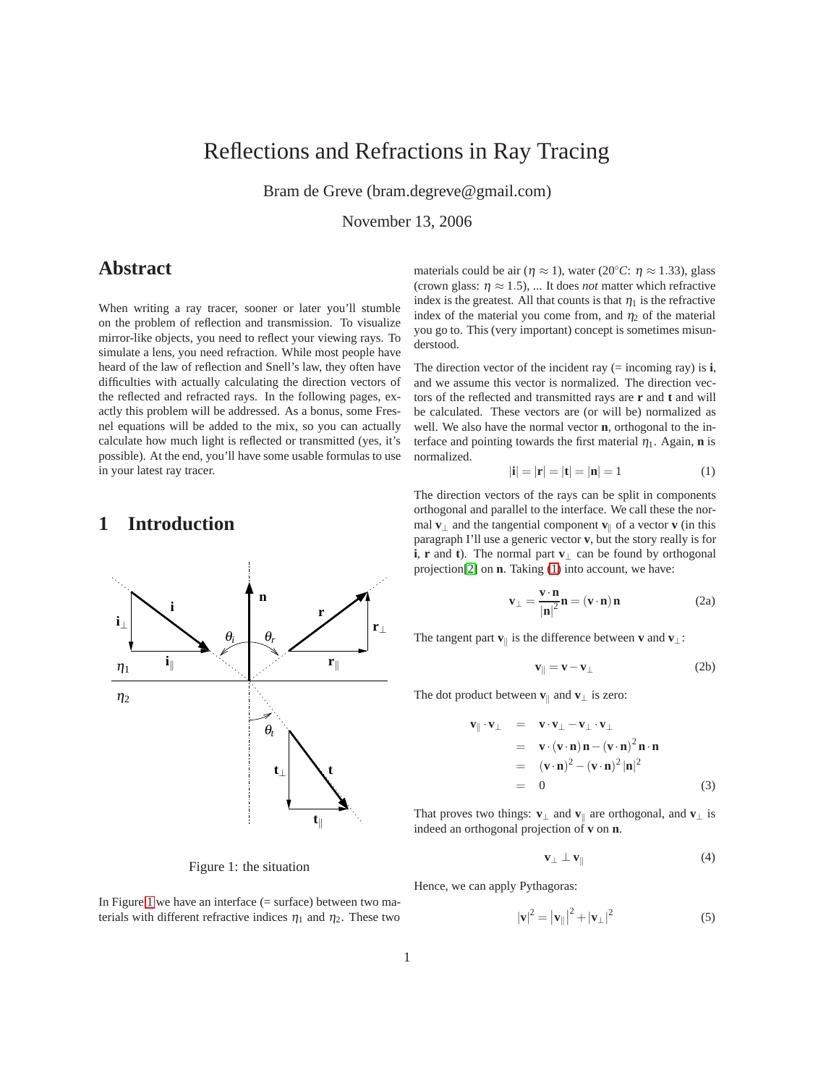# Reflections and Refractions in Ray Tracing

Bram de Greve (bram.degreve@gmail.com)

November 13, 2006

### **Abstract**

When writing a ray tracer, sooner or later you'll stumble on the problem of reflection and transmission. To visualize mirror-like objects, you need to reflect your viewing rays. To simulate a lens, you need refraction. While most people have heard of the law of reflection and Snell's law, they often have difficulties with actually calculating the direction vectors of the reflected and refracted rays. In the following pages, exactly this problem will be addressed. As a bonus, some Fresnel equations will be added to the mix, so you can actually calculate how much light is reflected or transmitted (yes, it's possible). At the end, you'll have some usable formulas to use in your latest ray tracer.

#### **1 Introduction**



<span id="page-0-0"></span>Figure 1: the situation

In Figure [1](#page-0-0) we have an interface  $($  = surface) between two materials with different refractive indices  $\eta_1$  and  $\eta_2$ . These two materials could be air ( $\eta \approx 1$ ), water (20<sup>°</sup>*C*:  $\eta \approx 1.33$ ), glass (crown glass:  $\eta \approx 1.5$ ), ... It does *not* matter which refractive index is the greatest. All that counts is that  $\eta_1$  is the refractive index of the material you come from, and  $\eta_2$  of the material you go to. This (very important) concept is sometimes misunderstood.

The direction vector of the incident ray  $(=$  incoming ray) is **i**, and we assume this vector is normalized. The direction vectors of the reflected and transmitted rays are **r** and **t** and will be calculated. These vectors are (or will be) normalized as well. We also have the normal vector **n**, orthogonal to the interface and pointing towards the first material  $\eta_1$ . Again, **n** is normalized.

$$
|\mathbf{i}| = |\mathbf{r}| = |\mathbf{t}| = |\mathbf{n}| = 1 \tag{1}
$$

<span id="page-0-1"></span>The direction vectors of the rays can be split in components orthogonal and parallel to the interface. We call these the normal **v**<sub>⊥</sub> and the tangential component **v**<sub> $\parallel$ </sub> of a vector **v** (in this paragraph I'll use a generic vector **v**, but the story really is for **i**, **r** and **t**). The normal part **v**<sup>⊥</sup> can be found by orthogonal projection[\[2\]](#page-4-0) on **n**. Taking [\(1\)](#page-0-1) into account, we have:

$$
\mathbf{v}_{\perp} = \frac{\mathbf{v} \cdot \mathbf{n}}{|\mathbf{n}|^2} \mathbf{n} = (\mathbf{v} \cdot \mathbf{n}) \mathbf{n}
$$
 (2a)

<span id="page-0-4"></span><span id="page-0-3"></span>The tangent part **v**<sub> $\parallel$ </sub> is the difference between **v** and **v**<sub>⊥</sub>:

$$
\mathbf{v}_{\parallel} = \mathbf{v} - \mathbf{v}_{\perp} \tag{2b}
$$

The dot product between  $\mathbf{v}_{\parallel}$  and  $\mathbf{v}_{\perp}$  is zero:

$$
\mathbf{v}_{\parallel} \cdot \mathbf{v}_{\perp} = \mathbf{v} \cdot \mathbf{v}_{\perp} - \mathbf{v}_{\perp} \cdot \mathbf{v}_{\perp}
$$
  
\n
$$
= \mathbf{v} \cdot (\mathbf{v} \cdot \mathbf{n}) \mathbf{n} - (\mathbf{v} \cdot \mathbf{n})^2 \mathbf{n} \cdot \mathbf{n}
$$
  
\n
$$
= (\mathbf{v} \cdot \mathbf{n})^2 - (\mathbf{v} \cdot \mathbf{n})^2 |\mathbf{n}|^2
$$
  
\n
$$
= 0
$$
 (3)

That proves two things: **v**<sub>⊥</sub> and **v**<sub> $\parallel$ </sub> are orthogonal, and **v**<sub>⊥</sub> is indeed an orthogonal projection of **v** on **n**.

$$
\mathbf{v}_{\perp} \perp \mathbf{v}_{\parallel} \tag{4}
$$

<span id="page-0-5"></span><span id="page-0-2"></span>Hence, we can apply Pythagoras:

$$
|\mathbf{v}|^2 = |\mathbf{v}_{\parallel}|^2 + |\mathbf{v}_{\perp}|^2 \tag{5}
$$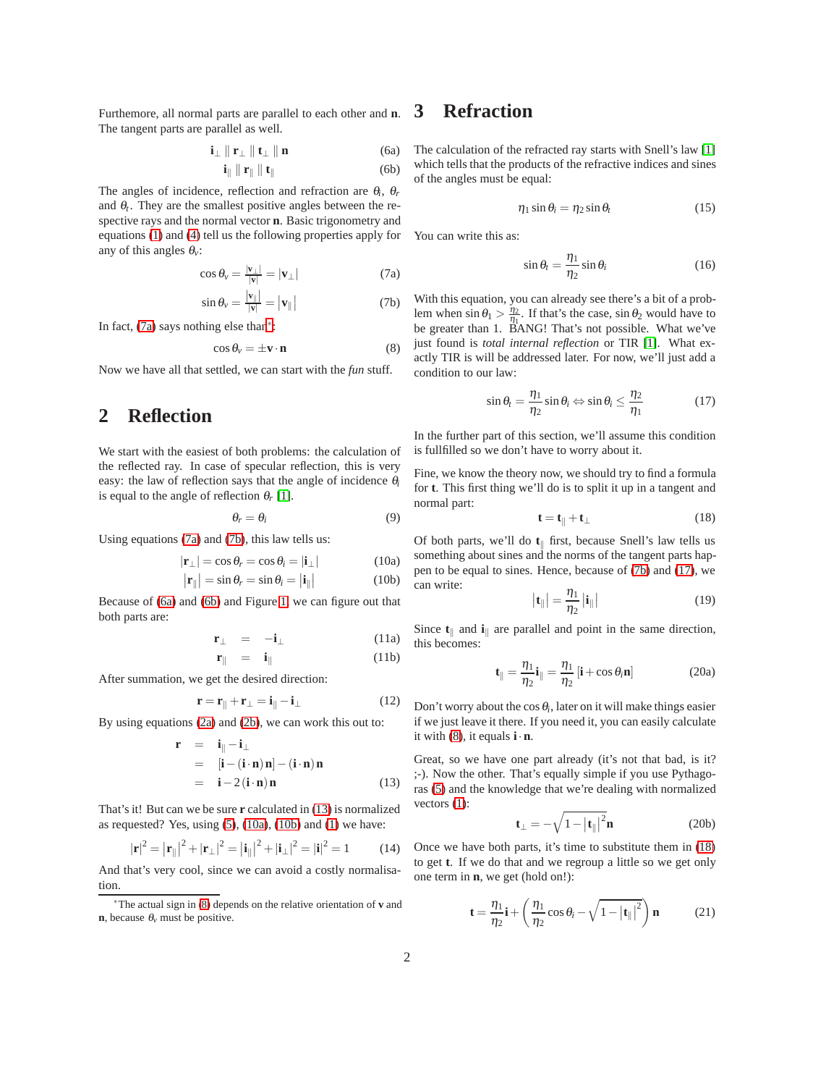<span id="page-1-2"></span>Furthemore, all normal parts are parallel to each other and **n**. The tangent parts are parallel as well.

$$
\mathbf{i}_{\perp} \parallel \mathbf{r}_{\perp} \parallel \mathbf{t}_{\perp} \parallel \mathbf{n} \tag{6a}
$$

$$
\mathbf{i}_{\parallel} \parallel \mathbf{r}_{\parallel} \parallel \mathbf{t}_{\parallel} \tag{6b}
$$

The angles of incidence, reflection and refraction are <sup>θ</sup>*i*, <sup>θ</sup>*<sup>r</sup>* and  $\theta_t$ . They are the smallest positive angles between the respective rays and the normal vector **n**. Basic trigonometry and equations [\(1\)](#page-0-1) and [\(4\)](#page-0-2) tell us the following properties apply for any of this angles <sup>θ</sup>*v*:

$$
\cos \theta_{v} = \frac{|\mathbf{v}_{\perp}|}{|\mathbf{v}|} = |\mathbf{v}_{\perp}| \tag{7a}
$$

$$
\sin \theta_{\nu} = \frac{|\mathbf{v}_{\parallel}|}{|\mathbf{v}|} = |\mathbf{v}_{\parallel}| \tag{7b}
$$

<span id="page-1-5"></span><span id="page-1-0"></span>In fact, [\(7a\)](#page-1-0) says nothing else than[∗](#page-1-1):

$$
\cos \theta_{v} = \pm \mathbf{v} \cdot \mathbf{n} \tag{8}
$$

Now we have all that settled, we can start with the *fun* stuff.

#### **2 Reflection**

We start with the easiest of both problems: the calculation of the reflected ray. In case of specular reflection, this is very easy: the law of reflection says that the angle of incidence <sup>θ</sup>*<sup>i</sup>* is equal to the angle of reflection  $\theta_r$  [\[1\]](#page-4-1).

$$
\theta_r = \theta_i \tag{9}
$$

<span id="page-1-4"></span>Using equations [\(7a\)](#page-1-0) and [\(7b\)](#page-1-0), this law tells us:

$$
|\mathbf{r}_{\perp}| = \cos \theta_r = \cos \theta_i = |\mathbf{i}_{\perp}| \tag{10a}
$$

$$
|\mathbf{r}_{\parallel}| = \sin \theta_r = \sin \theta_i = |\mathbf{i}_{\parallel}| \tag{10b}
$$

Because of [\(6a\)](#page-1-2) and [\(6b\)](#page-1-2) and Figure [1,](#page-0-0) we can figure out that both parts are:

$$
\mathbf{r}_{\perp} = -\mathbf{i}_{\perp} \tag{11a}
$$

$$
\mathbf{r}_{\parallel} = \mathbf{i}_{\parallel} \tag{11b}
$$

After summation, we get the desired direction:

$$
\mathbf{r} = \mathbf{r}_{\parallel} + \mathbf{r}_{\perp} = \mathbf{i}_{\parallel} - \mathbf{i}_{\perp} \tag{12}
$$

<span id="page-1-3"></span>By using equations [\(2a\)](#page-0-3) and [\(2b\)](#page-0-4), we can work this out to:

$$
\mathbf{r} = \mathbf{i}_{\parallel} - \mathbf{i}_{\perp} \n= [\mathbf{i} - (\mathbf{i} \cdot \mathbf{n}) \mathbf{n}] - (\mathbf{i} \cdot \mathbf{n}) \mathbf{n} \n= \mathbf{i} - 2(\mathbf{i} \cdot \mathbf{n}) \mathbf{n}
$$
\n(13)

That's it! But can we be sure **r** calculated in [\(13\)](#page-1-3) is normalized as requested? Yes, using  $(5)$ ,  $(10a)$ ,  $(10b)$  and  $(1)$  we have:

$$
|\mathbf{r}|^2 = |\mathbf{r}_{\parallel}|^2 + |\mathbf{r}_{\perp}|^2 = |\mathbf{i}_{\parallel}|^2 + |\mathbf{i}_{\perp}|^2 = |\mathbf{i}|^2 = 1
$$
 (14)

And that's very cool, since we can avoid a costly normalisation.

#### **3 Refraction**

The calculation of the refracted ray starts with Snell's law [\[1\]](#page-4-1) which tells that the products of the refractive indices and sines of the angles must be equal:

$$
\eta_1 \sin \theta_i = \eta_2 \sin \theta_t \tag{15}
$$

<span id="page-1-8"></span>You can write this as:

$$
\sin \theta_t = \frac{\eta_1}{\eta_2} \sin \theta_i \tag{16}
$$

With this equation, you can already see there's a bit of a problem when  $\sin \theta_1 > \frac{\eta_2}{\eta_1}$ . If that's the case,  $\sin \theta_2$  would have to be greater than 1. BANG! That's not possible. What we've just found is *total internal reflection* or TIR [\[1\]](#page-4-1). What exactly TIR is will be addressed later. For now, we'll just add a condition to our law:

$$
\sin \theta_t = \frac{\eta_1}{\eta_2} \sin \theta_i \Leftrightarrow \sin \theta_i \le \frac{\eta_2}{\eta_1} \tag{17}
$$

<span id="page-1-6"></span>In the further part of this section, we'll assume this condition is fullfilled so we don't have to worry about it.

Fine, we know the theory now, we should try to find a formula for **t**. This first thing we'll do is to split it up in a tangent and normal part:

$$
\mathbf{t} = \mathbf{t}_{\parallel} + \mathbf{t}_{\perp} \tag{18}
$$

<span id="page-1-7"></span>Of both parts, we'll do **t**<sub>||</sub> first, because Snell's law tells us something about sines and the norms of the tangent parts happen to be equal to sines. Hence, because of [\(7b\)](#page-1-0) and [\(17\)](#page-1-6), we can write:

$$
\left|\mathbf{t}_{\parallel}\right| = \frac{\eta_1}{\eta_2} \left|\mathbf{i}_{\parallel}\right| \tag{19}
$$

Since  $\mathbf{t}_{\parallel}$  and  $\mathbf{i}_{\parallel}$  are parallel and point in the same direction, this becomes:

$$
\mathbf{t}_{\parallel} = \frac{\eta_1}{\eta_2} \mathbf{i}_{\parallel} = \frac{\eta_1}{\eta_2} \left[ \mathbf{i} + \cos \theta_i \mathbf{n} \right]
$$
 (20a)

Don't worry about the  $\cos \theta_i$ , later on it will make things easier if we just leave it there. If you need it, you can easily calculate it with [\(8\)](#page-1-5), it equals **i**·**n**.

Great, so we have one part already (it's not that bad, is it? ;-). Now the other. That's equally simple if you use Pythagoras [\(5\)](#page-0-5) and the knowledge that we're dealing with normalized vectors  $(1)$ :

$$
\mathbf{t}_{\perp} = -\sqrt{1 - |\mathbf{t}_{\parallel}|^2} \mathbf{n} \tag{20b}
$$

Once we have both parts, it's time to substitute them in [\(18\)](#page-1-7) to get **t**. If we do that and we regroup a little so we get only one term in **n**, we get (hold on!):

$$
\mathbf{t} = \frac{\eta_1}{\eta_2}\mathbf{i} + \left(\frac{\eta_1}{\eta_2}\cos\theta_i - \sqrt{1 - |\mathbf{t}_{\parallel}|^2}\right)\mathbf{n} \tag{21}
$$

<span id="page-1-1"></span><sup>∗</sup>The actual sign in [\(8\)](#page-1-5) depends on the relative orientation of **v** and **n**, because  $\theta$ <sup>*v*</sup> must be positive.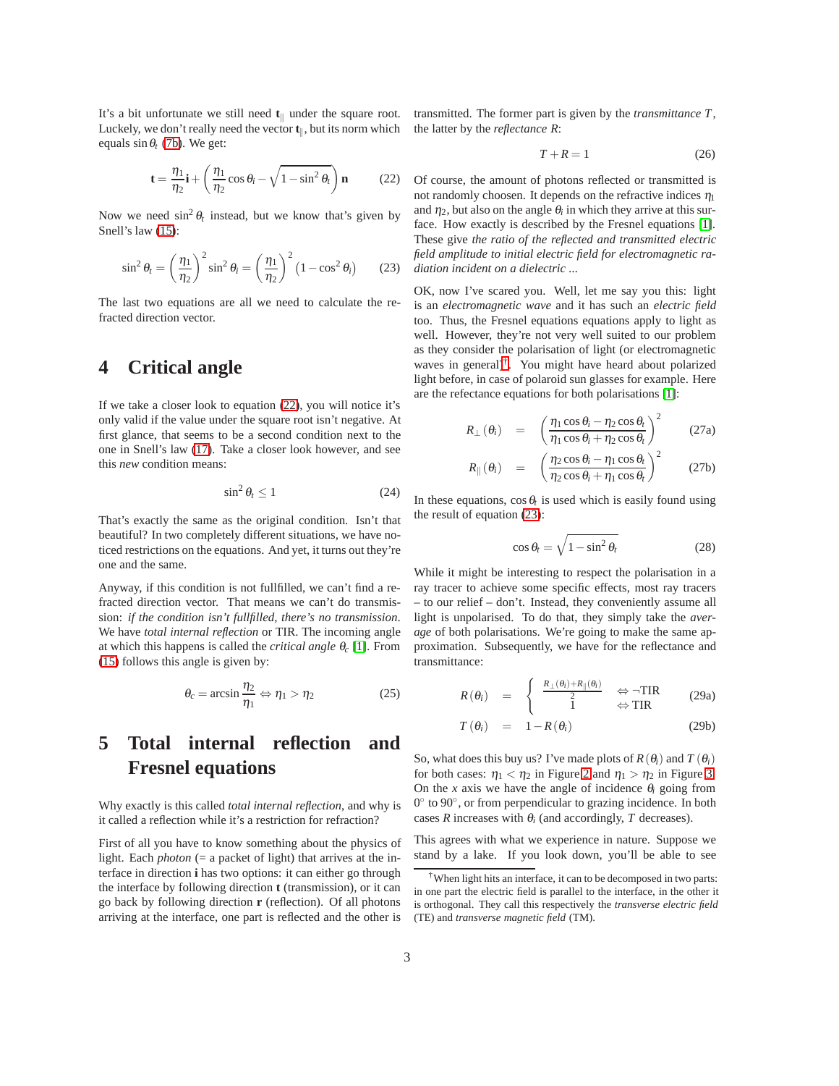It's a bit unfortunate we still need  $t_{\parallel}$  under the square root. Luckely, we don't really need the vector  $\mathbf{t}_{\parallel}$ , but its norm which equals  $\sin \theta_t$  [\(7b\)](#page-1-0). We get:

$$
\mathbf{t} = \frac{\eta_1}{\eta_2}\mathbf{i} + \left(\frac{\eta_1}{\eta_2}\cos\theta_i - \sqrt{1-\sin^2\theta_t}\right)\mathbf{n}
$$
 (22)

<span id="page-2-0"></span>Now we need  $\sin^2 \theta_t$  instead, but we know that's given by Snell's law [\(15\)](#page-1-8):

$$
\sin^2 \theta_t = \left(\frac{\eta_1}{\eta_2}\right)^2 \sin^2 \theta_i = \left(\frac{\eta_1}{\eta_2}\right)^2 \left(1 - \cos^2 \theta_i\right) \tag{23}
$$

<span id="page-2-2"></span>The last two equations are all we need to calculate the refracted direction vector.

#### **4 Critical angle**

If we take a closer look to equation [\(22\)](#page-2-0), you will notice it's only valid if the value under the square root isn't negative. At first glance, that seems to be a second condition next to the one in Snell's law [\(17\)](#page-1-6). Take a closer look however, and see this *new* condition means:

$$
\sin^2 \theta_t \le 1 \tag{24}
$$

That's exactly the same as the original condition. Isn't that beautiful? In two completely different situations, we have noticed restrictions on the equations. And yet, it turns out they're one and the same.

Anyway, if this condition is not fullfilled, we can't find a refracted direction vector. That means we can't do transmission: *if the condition isn't fullfilled, there's no transmission*. We have *total internal reflection* or TIR. The incoming angle at which this happens is called the *critical angle* <sup>θ</sup>*<sup>c</sup>* [\[1\]](#page-4-1). From [\(15\)](#page-1-8) follows this angle is given by:

$$
\theta_c = \arcsin \frac{\eta_2}{\eta_1} \Leftrightarrow \eta_1 > \eta_2 \tag{25}
$$

### **5 Total internal reflection and Fresnel equations**

Why exactly is this called *total internal reflection*, and why is it called a reflection while it's a restriction for refraction?

First of all you have to know something about the physics of light. Each *photon* (= a packet of light) that arrives at the interface in direction **i** has two options: it can either go through the interface by following direction **t** (transmission), or it can go back by following direction **r** (reflection). Of all photons arriving at the interface, one part is reflected and the other is transmitted. The former part is given by the *transmittance T*, the latter by the *reflectance R*:

$$
T + R = 1\tag{26}
$$

Of course, the amount of photons reflected or transmitted is not randomly choosen. It depends on the refractive indices  $\eta_1$ and  $\eta_2$ , but also on the angle  $\theta_i$  in which they arrive at this surface. How exactly is described by the Fresnel equations [\[1\]](#page-4-1). These give *the ratio of the reflected and transmitted electric field amplitude to initial electric field for electromagnetic radiation incident on a dielectric ...*

OK, now I've scared you. Well, let me say you this: light is an *electromagnetic wave* and it has such an *electric field* too. Thus, the Fresnel equations equations apply to light as well. However, they're not very well suited to our problem as they consider the polarisation of light (or electromagnetic waves in general[\)†](#page-2-1). You might have heard about polarized light before, in case of polaroid sun glasses for example. Here are the refectance equations for both polarisations [\[1\]](#page-4-1):

$$
R_{\perp}(\theta_i) = \left(\frac{\eta_1 \cos \theta_i - \eta_2 \cos \theta_t}{\eta_1 \cos \theta_i + \eta_2 \cos \theta_t}\right)^2 \qquad (27a)
$$

$$
R_{\parallel}(\theta_i) = \left(\frac{\eta_2 \cos \theta_i - \eta_1 \cos \theta_t}{\eta_2 \cos \theta_i + \eta_1 \cos \theta_t}\right)^2 \qquad (27b)
$$

In these equations,  $\cos \theta_t$  is used which is easily found using the result of equation [\(23\)](#page-2-2):

$$
\cos \theta_t = \sqrt{1 - \sin^2 \theta_t} \tag{28}
$$

While it might be interesting to respect the polarisation in a ray tracer to achieve some specific effects, most ray tracers – to our relief – don't. Instead, they conveniently assume all light is unpolarised. To do that, they simply take the *average* of both polarisations. We're going to make the same approximation. Subsequently, we have for the reflectance and transmittance:

$$
R(\theta_i) = \begin{cases} \frac{R_{\perp}(\theta_i) + R_{\parallel}(\theta_i)}{2} & \Leftrightarrow \neg \text{TIR} \\ 1 & \Leftrightarrow \text{TIR} \end{cases}
$$
 (29a)

$$
T(\theta_i) = 1 - R(\theta_i) \tag{29b}
$$

So, what does this buy us? I've made plots of  $R(\theta_i)$  and  $T(\theta_i)$ for both cases:  $\eta_1 < \eta_2$  in Figure [2](#page-3-0) and  $\eta_1 > \eta_2$  in Figure [3.](#page-3-1) On the *x* axis we have the angle of incidence  $\theta_i$  going from 0◦ to 90◦, or from perpendicular to grazing incidence. In both cases *R* increases with  $\theta_i$  (and accordingly, *T* decreases).

This agrees with what we experience in nature. Suppose we stand by a lake. If you look down, you'll be able to see

<span id="page-2-1"></span><sup>†</sup>When light hits an interface, it can to be decomposed in two parts: in one part the electric field is parallel to the interface, in the other it is orthogonal. They call this respectively the *transverse electric field* (TE) and *transverse magnetic field* (TM).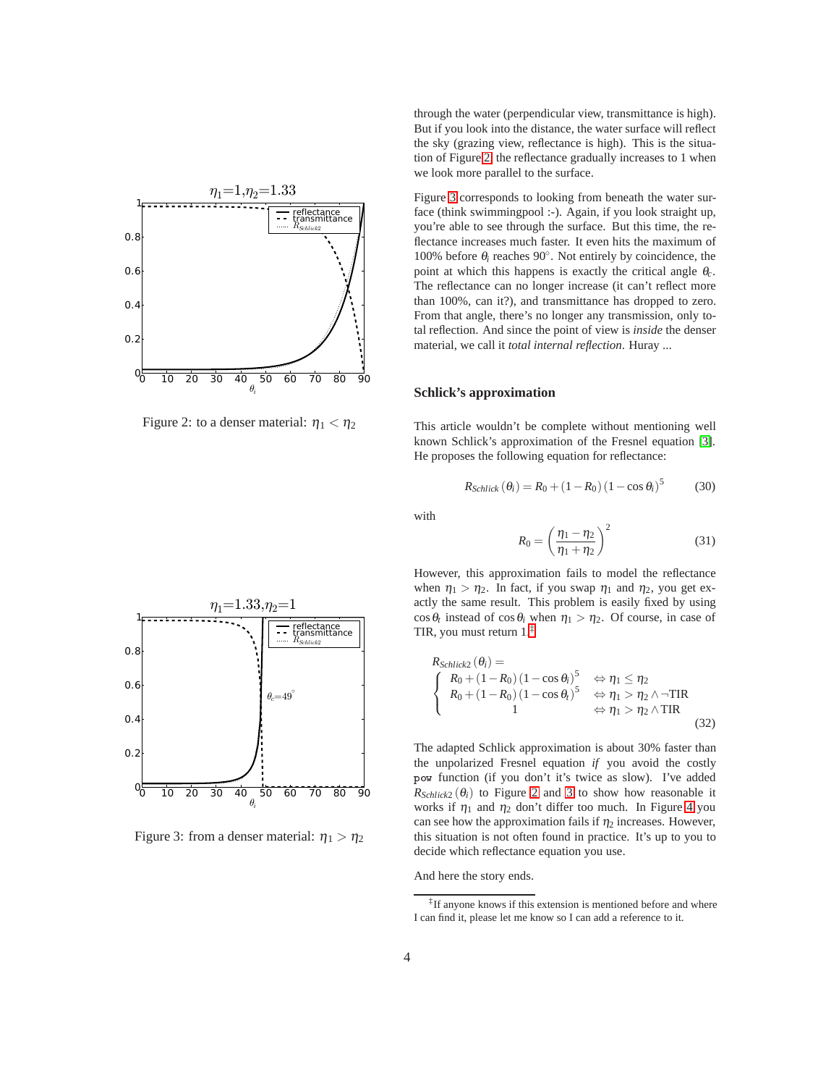

<span id="page-3-0"></span>Figure 2: to a denser material:  $\eta_1 < \eta_2$ 

through the water (perpendicular view, transmittance is high). But if you look into the distance, the water surface will reflect the sky (grazing view, reflectance is high). This is the situation of Figure [2,](#page-3-0) the reflectance gradually increases to 1 when we look more parallel to the surface.

Figure [3](#page-3-1) corresponds to looking from beneath the water surface (think swimmingpool :-). Again, if you look straight up, you're able to see through the surface. But this time, the reflectance increases much faster. It even hits the maximum of 100% before  $\theta_i$  reaches 90°. Not entirely by coincidence, the point at which this happens is exactly the critical angle <sup>θ</sup>*c*. The reflectance can no longer increase (it can't reflect more than 100%, can it?), and transmittance has dropped to zero. From that angle, there's no longer any transmission, only total reflection. And since the point of view is *inside* the denser material, we call it *total internal reflection*. Huray ...

#### **Schlick's approximation**

This article wouldn't be complete without mentioning well known Schlick's approximation of the Fresnel equation [\[3\]](#page-4-2). He proposes the following equation for reflectance:

$$
R_{Schlick} (\theta_i) = R_0 + (1 - R_0) (1 - \cos \theta_i)^5
$$
 (30)

with

$$
R_0 = \left(\frac{\eta_1 - \eta_2}{\eta_1 + \eta_2}\right)^2
$$
 (31)

However, this approximation fails to model the reflectance when  $\eta_1 > \eta_2$ . In fact, if you swap  $\eta_1$  and  $\eta_2$ , you get exactly the same result. This problem is easily fixed by using  $\cos \theta_t$  instead of  $\cos \theta_i$  when  $\eta_1 > \eta_2$ . Of course, in case of TIR, you must return 1[.‡](#page-3-2)

$$
R_{Schlick2}(\theta_i) =
$$
\n
$$
\begin{cases}\nR_0 + (1 - R_0) (1 - \cos \theta_i)^5 & \Leftrightarrow \eta_1 \leq \eta_2 \\
R_0 + (1 - R_0) (1 - \cos \theta_i)^5 & \Leftrightarrow \eta_1 > \eta_2 \wedge \neg \text{TIR} \\
1 & \Leftrightarrow \eta_1 > \eta_2 \wedge \text{TIR}\n\end{cases}
$$
\n(32)

The adapted Schlick approximation is about 30% faster than the unpolarized Fresnel equation *if* you avoid the costly pow function (if you don't it's twice as slow). I've added  $R_{Schlick2} (\theta_i)$  to Figure [2](#page-3-0) and [3](#page-3-1) to show how reasonable it works if  $\eta_1$  and  $\eta_2$  don't differ too much. In Figure [4](#page-4-3) you can see how the approximation fails if  $\eta_2$  increases. However, this situation is not often found in practice. It's up to you to decide which reflectance equation you use.

And here the story ends.



<span id="page-3-1"></span>Figure 3: from a denser material:  $\eta_1 > \eta_2$ 

<span id="page-3-2"></span><sup>‡</sup>If anyone knows if this extension is mentioned before and where I can find it, please let me know so I can add a reference to it.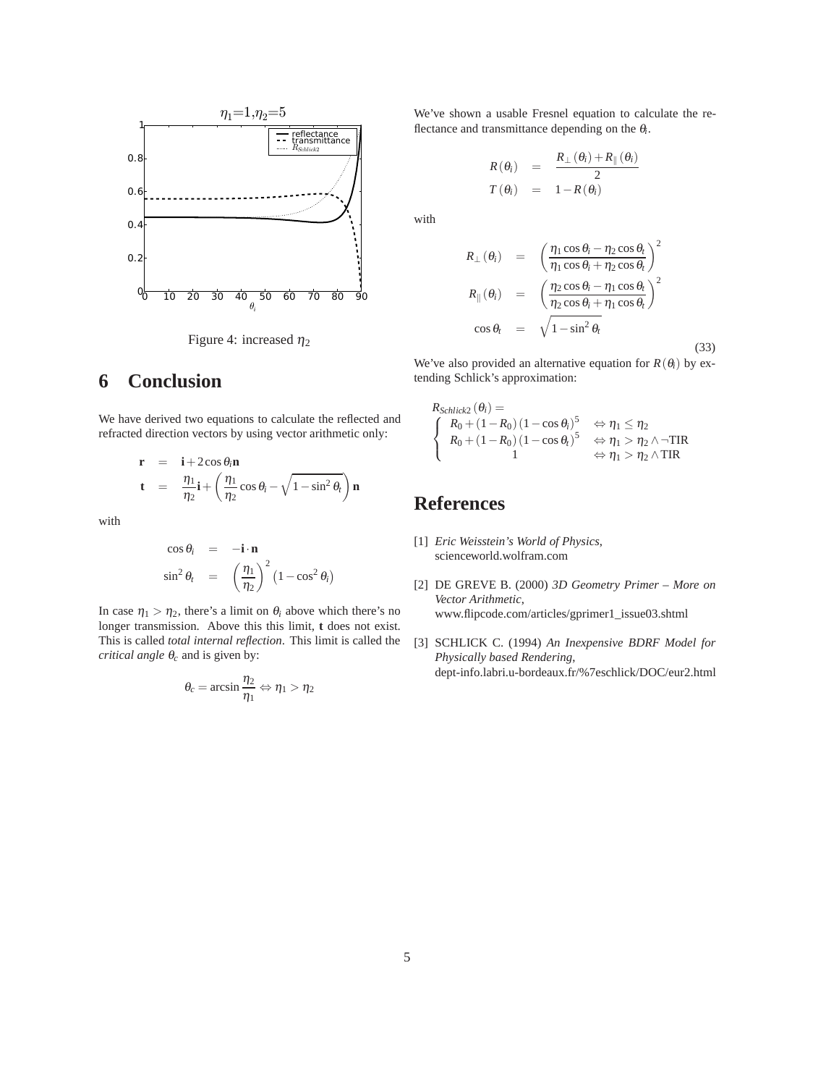

# <span id="page-4-3"></span>**6 Conclusion**

We have derived two equations to calculate the reflected and refracted direction vectors by using vector arithmetic only:

$$
\mathbf{r} = \mathbf{i} + 2\cos\theta_i \mathbf{n}
$$
  

$$
\mathbf{t} = \frac{\eta_1}{\eta_2} \mathbf{i} + \left(\frac{\eta_1}{\eta_2}\cos\theta_i - \sqrt{1-\sin^2\theta_t}\right) \mathbf{n}
$$

with

$$
\cos \theta_i = -\mathbf{i} \cdot \mathbf{n}
$$
  
\n
$$
\sin^2 \theta_t = \left(\frac{\eta_1}{\eta_2}\right)^2 \left(1 - \cos^2 \theta_i\right)
$$

In case  $\eta_1 > \eta_2$ , there's a limit on  $\theta_i$  above which there's no longer transmission. Above this this limit, **t** does not exist. This is called *total internal reflection*. This limit is called the *critical angle* <sup>θ</sup>*<sup>c</sup>* and is given by:

$$
\theta_c=\arcsin\frac{\eta_2}{\eta_1}\Leftrightarrow\eta_1>\eta_2
$$

We've shown a usable Fresnel equation to calculate the reflectance and transmittance depending on the <sup>θ</sup>*i*.

$$
R(\theta_i) = \frac{R_{\perp}(\theta_i) + R_{\parallel}(\theta_i)}{2}
$$
  

$$
T(\theta_i) = 1 - R(\theta_i)
$$

with

$$
R_{\perp}(\theta_i) = \left(\frac{\eta_1 \cos \theta_i - \eta_2 \cos \theta_t}{\eta_1 \cos \theta_i + \eta_2 \cos \theta_t}\right)^2
$$
  

$$
R_{\parallel}(\theta_i) = \left(\frac{\eta_2 \cos \theta_i - \eta_1 \cos \theta_t}{\eta_2 \cos \theta_i + \eta_1 \cos \theta_t}\right)^2
$$
  

$$
\cos \theta_t = \sqrt{1 - \sin^2 \theta_t}
$$

We've also provided an alternative equation for  $R(\theta_i)$  by extending Schlick's approximation:

(33)

$$
R_{Schlick2}(\theta_i) =
$$
\n
$$
\begin{cases}\nR_0 + (1 - R_0)(1 - \cos \theta_i)^5 & \Leftrightarrow \eta_1 \leq \eta_2 \\
R_0 + (1 - R_0)(1 - \cos \theta_i)^5 & \Leftrightarrow \eta_1 > \eta_2 \wedge \neg \text{TIR} \\
1 & \Leftrightarrow \eta_1 > \eta_2 \wedge \text{TIR}\n\end{cases}
$$

# <span id="page-4-1"></span>**References**

- [1] *Eric Weisstein's World of Physics*, scienceworld.wolfram.com
- <span id="page-4-0"></span>[2] DE GREVE B. (2000) *3D Geometry Primer – More on Vector Arithmetic*, www.flipcode.com/articles/gprimer1\_issue03.shtml
- <span id="page-4-2"></span>[3] SCHLICK C. (1994) *An Inexpensive BDRF Model for Physically based Rendering*, dept-info.labri.u-bordeaux.fr/%7eschlick/DOC/eur2.html